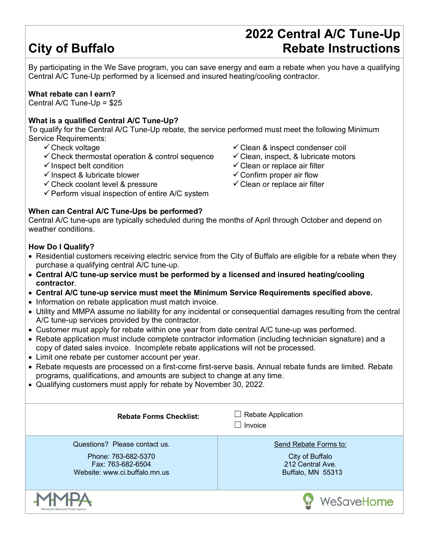# **City of Buffalo**

## **2022 Central A/C Tune-Up Rebate Instructions**

By participating in the We Save program, you can save energy and earn a rebate when you have a qualifying Central A/C Tune-Up performed by a licensed and insured heating/cooling contractor.

#### **What rebate can I earn?**

Central A/C Tune-Up = \$25

#### **What is a qualified Central A/C Tune-Up?**

To qualify for the Central A/C Tune-Up rebate, the service performed must meet the following Minimum Service Requirements:

- $\checkmark$  Check voltage
- $\checkmark$  Check thermostat operation & control sequence
- $\checkmark$  Inspect belt condition
- $\checkmark$  Inspect & lubricate blower
- $\checkmark$  Check coolant level & pressure
- $\checkmark$  Perform visual inspection of entire A/C system

### **When can Central A/C Tune-Ups be performed?**

 $\checkmark$  Clean & inspect condenser coil

- $\checkmark$  Clean, inspect, & lubricate motors
- $\checkmark$  Clean or replace air filter
- $\checkmark$  Confirm proper air flow
- $\checkmark$  Clean or replace air filter

Central A/C tune-ups are typically scheduled during the months of April through October and depend on weather conditions.

### **How Do I Qualify?**

- Residential customers receiving electric service from the City of Buffalo are eligible for a rebate when they purchase a qualifying central A/C tune-up.
- **Central A/C tune-up service must be performed by a licensed and insured heating/cooling contractor**.
- **Central A/C tune-up service must meet the Minimum Service Requirements specified above.**
- Information on rebate application must match invoice.
- Utility and MMPA assume no liability for any incidental or consequential damages resulting from the central A/C tune-up services provided by the contractor.
- Customer must apply for rebate within one year from date central A/C tune-up was performed.
- Rebate application must include complete contractor information (including technician signature) and a copy of dated sales invoice. Incomplete rebate applications will not be processed.
- Limit one rebate per customer account per year.
- Rebate requests are processed on a first-come first-serve basis. Annual rebate funds are limited. Rebate programs, qualifications, and amounts are subject to change at any time.
- Qualifying customers must apply for rebate by November 30, 2022.

| <b>Rebate Forms Checklist:</b>                                                                             | $\Box$ Rebate Application<br>Invoice<br>Send Rebate Forms to:<br>City of Buffalo<br>212 Central Ave.<br>Buffalo, MN 55313 |  |  |
|------------------------------------------------------------------------------------------------------------|---------------------------------------------------------------------------------------------------------------------------|--|--|
| Questions? Please contact us.<br>Phone: 763-682-5370<br>Fax: 763-682-6504<br>Website: www.ci.buffalo.mn.us |                                                                                                                           |  |  |
| Minnogato Municipal Dougle Agono                                                                           | WeSaveHome                                                                                                                |  |  |